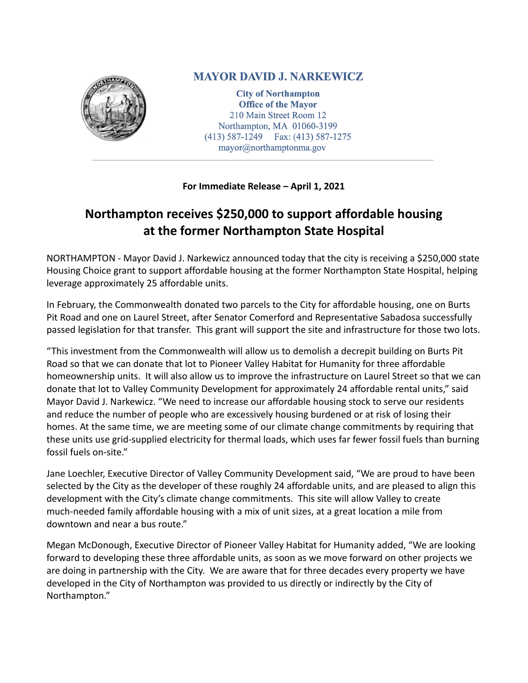

## **MAYOR DAVID J. NARKEWICZ**

**City of Northampton Office of the Mayor** 210 Main Street Room 12 Northampton, MA 01060-3199  $(413)$  587-1249 Fax:  $(413)$  587-1275 mayor@northamptonma.gov

**For Immediate Release – April 1, 2021**

## **Northampton receives \$250,000 to support affordable housing at the former Northampton State Hospital**

NORTHAMPTON - Mayor David J. Narkewicz announced today that the city is receiving a \$250,000 state Housing Choice grant to support affordable housing at the former Northampton State Hospital, helping leverage approximately 25 affordable units.

In February, the Commonwealth donated two parcels to the City for affordable housing, one on Burts Pit Road and one on Laurel Street, after Senator Comerford and Representative Sabadosa successfully passed legislation for that transfer. This grant will support the site and infrastructure for those two lots.

"This investment from the Commonwealth will allow us to demolish a decrepit building on Burts Pit Road so that we can donate that lot to Pioneer Valley Habitat for Humanity for three affordable homeownership units. It will also allow us to improve the infrastructure on Laurel Street so that we can donate that lot to Valley Community Development for approximately 24 affordable rental units," said Mayor David J. Narkewicz. "We need to increase our affordable housing stock to serve our residents and reduce the number of people who are excessively housing burdened or at risk of losing their homes. At the same time, we are meeting some of our climate change commitments by requiring that these units use grid-supplied electricity for thermal loads, which uses far fewer fossil fuels than burning fossil fuels on-site."

Jane Loechler, Executive Director of Valley Community Development said, "We are proud to have been selected by the City as the developer of these roughly 24 affordable units, and are pleased to align this development with the City's climate change commitments. This site will allow Valley to create much-needed family affordable housing with a mix of unit sizes, at a great location a mile from downtown and near a bus route."

Megan McDonough, Executive Director of Pioneer Valley Habitat for Humanity added, "We are looking forward to developing these three affordable units, as soon as we move forward on other projects we are doing in partnership with the City. We are aware that for three decades every property we have developed in the City of Northampton was provided to us directly or indirectly by the City of Northampton."